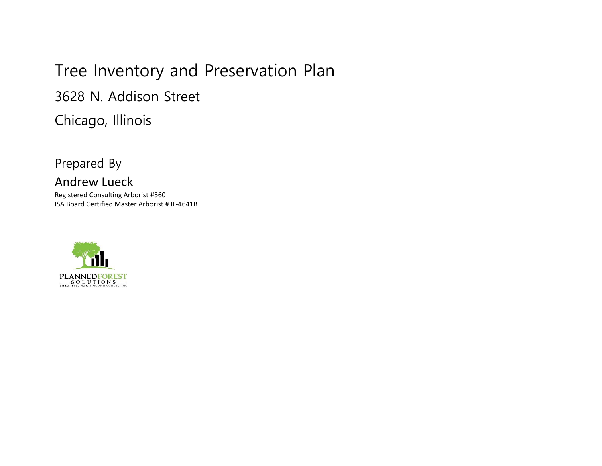# Tree Inventory and Preservation Plan

3628 N. Addison Street

Chicago, Illinois

Prepared By

# Andrew Lueck

Registered Consulting Arborist #560 ISA Board Certified Master Arborist # IL-4641B

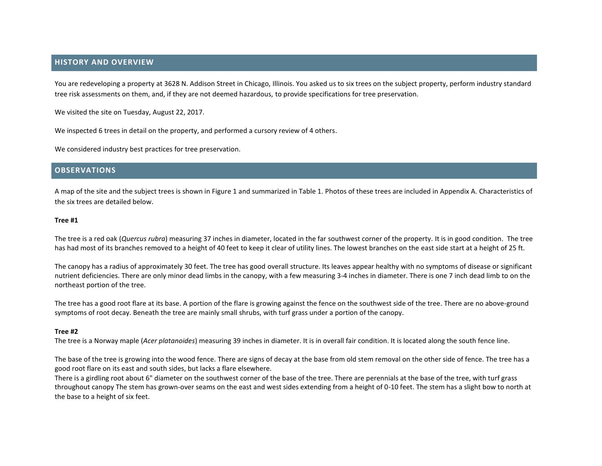# **HISTORY AND OVERVIEW**

You are redeveloping a property at 3628 N. Addison Street in Chicago, Illinois. You asked us to six trees on the subject property, perform industry standard tree risk assessments on them, and, if they are not deemed hazardous, to provide specifications for tree preservation.

We visited the site on Tuesday, August 22, 2017.

We inspected 6 trees in detail on the property, and performed a cursory review of 4 others.

We considered industry best practices for tree preservation.

## **OBSERVATIONS**

A map of the site and the subject trees is shown in Figure 1 and summarized in Table 1. Photos of these trees are included in Appendix A. Characteristics of the six trees are detailed below.

#### **Tree #1**

The tree is a red oak (*Quercus rubra*) measuring 37 inches in diameter, located in the far southwest corner of the property. It is in good condition. The tree has had most of its branches removed to a height of 40 feet to keep it clear of utility lines. The lowest branches on the east side start at a height of 25 ft.

The canopy has a radius of approximately 30 feet. The tree has good overall structure. Its leaves appear healthy with no symptoms of disease or significant nutrient deficiencies. There are only minor dead limbs in the canopy, with a few measuring 3-4 inches in diameter. There is one 7 inch dead limb to on the northeast portion of the tree.

The tree has a good root flare at its base. A portion of the flare is growing against the fence on the southwest side of the tree. There are no above-ground symptoms of root decay. Beneath the tree are mainly small shrubs, with turf grass under a portion of the canopy.

#### **Tree #2**

The tree is a Norway maple (*Acer platanoides*) measuring 39 inches in diameter. It is in overall fair condition. It is located along the south fence line.

The base of the tree is growing into the wood fence. There are signs of decay at the base from old stem removal on the other side of fence. The tree has a good root flare on its east and south sides, but lacks a flare elsewhere.

There is a girdling root about 6" diameter on the southwest corner of the base of the tree. There are perennials at the base of the tree, with turf grass throughout canopy The stem has grown-over seams on the east and west sides extending from a height of 0-10 feet. The stem has a slight bow to north at the base to a height of six feet.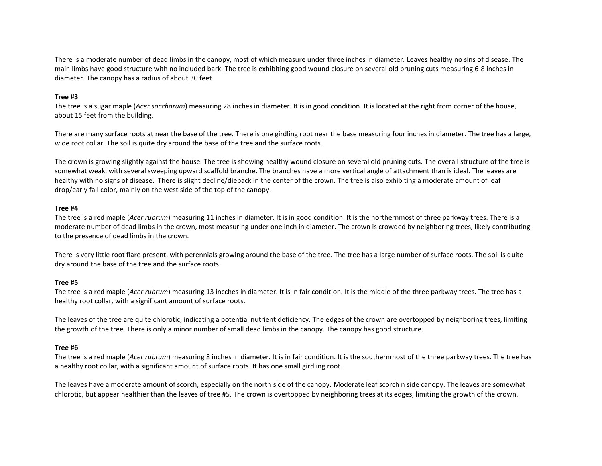There is a moderate number of dead limbs in the canopy, most of which measure under three inches in diameter. Leaves healthy no sins of disease. The main limbs have good structure with no included bark. The tree is exhibiting good wound closure on several old pruning cuts measuring 6-8 inches in diameter. The canopy has a radius of about 30 feet.

## **Tree #3**

The tree is a sugar maple (*Acer saccharum*) measuring 28 inches in diameter. It is in good condition. It is located at the right from corner of the house, about 15 feet from the building.

There are many surface roots at near the base of the tree. There is one girdling root near the base measuring four inches in diameter. The tree has a large, wide root collar. The soil is quite dry around the base of the tree and the surface roots.

The crown is growing slightly against the house. The tree is showing healthy wound closure on several old pruning cuts. The overall structure of the tree is somewhat weak, with several sweeping upward scaffold branche. The branches have a more vertical angle of attachment than is ideal. The leaves are healthy with no signs of disease. There is slight decline/dieback in the center of the crown. The tree is also exhibiting a moderate amount of leaf drop/early fall color, mainly on the west side of the top of the canopy.

### **Tree #4**

The tree is a red maple (*Acer rubrum*) measuring 11 inches in diameter. It is in good condition. It is the northernmost of three parkway trees. There is a moderate number of dead limbs in the crown, most measuring under one inch in diameter. The crown is crowded by neighboring trees, likely contributing to the presence of dead limbs in the crown.

There is very little root flare present, with perennials growing around the base of the tree. The tree has a large number of surface roots. The soil is quite dry around the base of the tree and the surface roots.

#### **Tree #5**

The tree is a red maple (*Acer rubrum*) measuring 13 incches in diameter. It is in fair condition. It is the middle of the three parkway trees. The tree has a healthy root collar, with a significant amount of surface roots.

The leaves of the tree are quite chlorotic, indicating a potential nutrient deficiency. The edges of the crown are overtopped by neighboring trees, limiting the growth of the tree. There is only a minor number of small dead limbs in the canopy. The canopy has good structure.

# **Tree #6**

The tree is a red maple (*Acer rubrum*) measuring 8 inches in diameter. It is in fair condition. It is the southernmost of the three parkway trees. The tree has a healthy root collar, with a significant amount of surface roots. It has one small girdling root.

The leaves have a moderate amount of scorch, especially on the north side of the canopy. Moderate leaf scorch n side canopy. The leaves are somewhat chlorotic, but appear healthier than the leaves of tree #5. The crown is overtopped by neighboring trees at its edges, limiting the growth of the crown.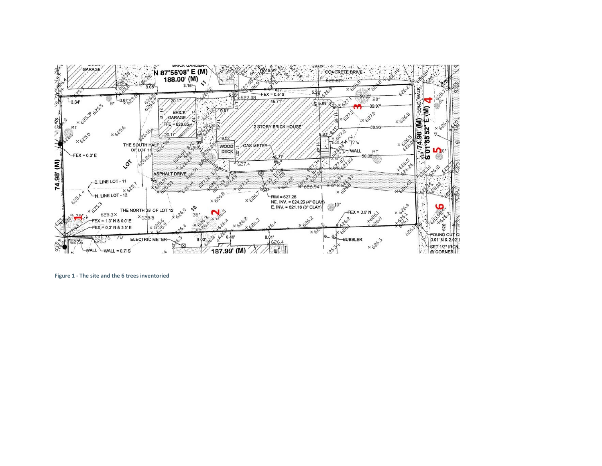

**Figure 1 - The site and the 6 trees inventoried**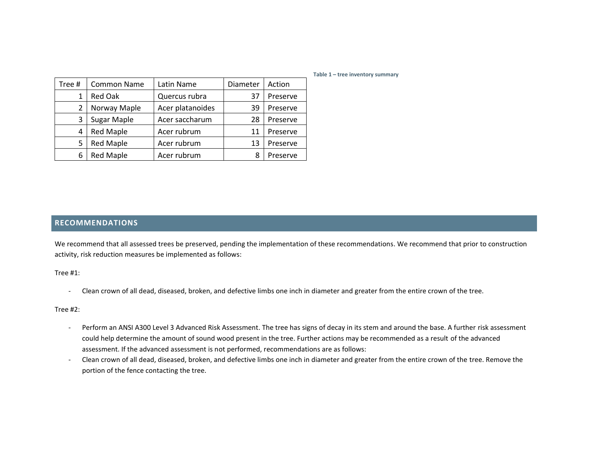| Tree # | Common Name      | Latin Name       | Diameter | Action   |
|--------|------------------|------------------|----------|----------|
|        | <b>Red Oak</b>   | Quercus rubra    | 37       | Preserve |
| 2      | Norway Maple     | Acer platanoides | 39       | Preserve |
| 3      | Sugar Maple      | Acer saccharum   | 28       | Preserve |
| 4      | <b>Red Maple</b> | Acer rubrum      | 11       | Preserve |
| 5      | <b>Red Maple</b> | Acer rubrum      | 13       | Preserve |
| 6      | <b>Red Maple</b> | Acer rubrum      | 8        | Preserve |

#### **Table 1 – tree inventory summary**

# **RECOMMENDATIONS**

We recommend that all assessed trees be preserved, pending the implementation of these recommendations. We recommend that prior to construction activity, risk reduction measures be implemented as follows:

Tree #1:

- Clean crown of all dead, diseased, broken, and defective limbs one inch in diameter and greater from the entire crown of the tree.

Tree #2:

- Perform an ANSI A300 Level 3 Advanced Risk Assessment. The tree has signs of decay in its stem and around the base. A further risk assessment could help determine the amount of sound wood present in the tree. Further actions may be recommended as a result of the advanced assessment. If the advanced assessment is not performed, recommendations are as follows:
- Clean crown of all dead, diseased, broken, and defective limbs one inch in diameter and greater from the entire crown of the tree. Remove the portion of the fence contacting the tree.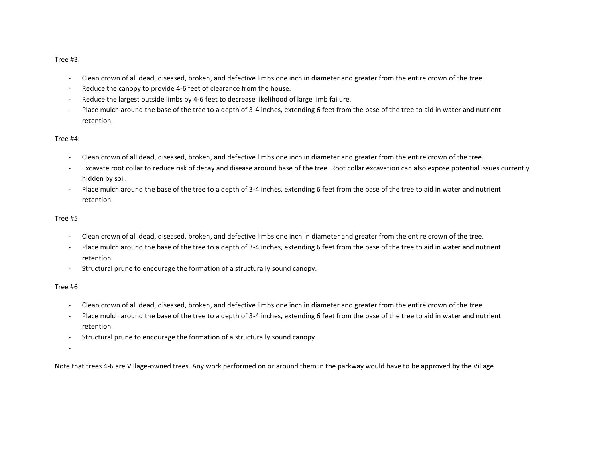Tree #3:

- Clean crown of all dead, diseased, broken, and defective limbs one inch in diameter and greater from the entire crown of the tree.
- Reduce the canopy to provide 4-6 feet of clearance from the house.
- Reduce the largest outside limbs by 4-6 feet to decrease likelihood of large limb failure.
- Place mulch around the base of the tree to a depth of 3-4 inches, extending 6 feet from the base of the tree to aid in water and nutrient retention.

#### Tree #4:

- Clean crown of all dead, diseased, broken, and defective limbs one inch in diameter and greater from the entire crown of the tree.
- Excavate root collar to reduce risk of decay and disease around base of the tree. Root collar excavation can also expose potential issues currently hidden by soil.
- Place mulch around the base of the tree to a depth of 3-4 inches, extending 6 feet from the base of the tree to aid in water and nutrient retention.

#### Tree #5

- Clean crown of all dead, diseased, broken, and defective limbs one inch in diameter and greater from the entire crown of the tree.
- Place mulch around the base of the tree to a depth of 3-4 inches, extending 6 feet from the base of the tree to aid in water and nutrient retention.
- Structural prune to encourage the formation of a structurally sound canopy.

#### Tree #6

- Clean crown of all dead, diseased, broken, and defective limbs one inch in diameter and greater from the entire crown of the tree.
- Place mulch around the base of the tree to a depth of 3-4 inches, extending 6 feet from the base of the tree to aid in water and nutrient retention.
- Structural prune to encourage the formation of a structurally sound canopy.
- -

Note that trees 4-6 are Village-owned trees. Any work performed on or around them in the parkway would have to be approved by the Village.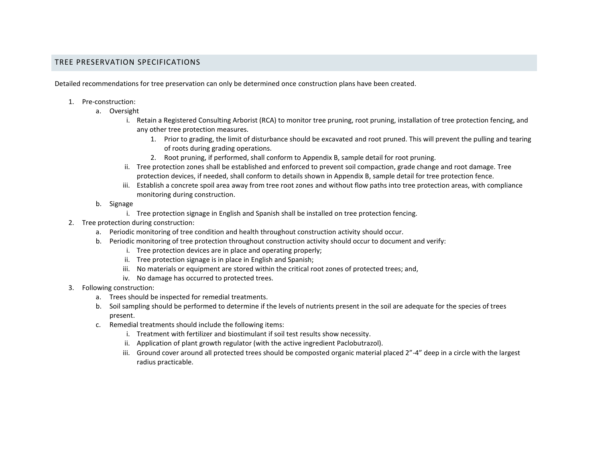# TREE PRESERVATION SPECIFICATIONS

Detailed recommendations for tree preservation can only be determined once construction plans have been created.

- 1. Pre-construction:
	- a. Oversight
		- i. Retain a Registered Consulting Arborist (RCA) to monitor tree pruning, root pruning, installation of tree protection fencing, and any other tree protection measures.
			- 1. Prior to grading, the limit of disturbance should be excavated and root pruned. This will prevent the pulling and tearing of roots during grading operations.
			- 2. Root pruning, if performed, shall conform to Appendix B, sample detail for root pruning.
		- ii. Tree protection zones shall be established and enforced to prevent soil compaction, grade change and root damage. Tree protection devices, if needed, shall conform to details shown in Appendix B, sample detail for tree protection fence.
		- iii. Establish a concrete spoil area away from tree root zones and without flow paths into tree protection areas, with compliance monitoring during construction.
	- b. Signage
		- i. Tree protection signage in English and Spanish shall be installed on tree protection fencing.
- 2. Tree protection during construction:
	- a. Periodic monitoring of tree condition and health throughout construction activity should occur.
	- b. Periodic monitoring of tree protection throughout construction activity should occur to document and verify:
		- i. Tree protection devices are in place and operating properly;
		- ii. Tree protection signage is in place in English and Spanish;
		- iii. No materials or equipment are stored within the critical root zones of protected trees; and,
		- iv. No damage has occurred to protected trees.
- 3. Following construction:
	- a. Trees should be inspected for remedial treatments.
	- b. Soil sampling should be performed to determine if the levels of nutrients present in the soil are adequate for the species of trees present.
	- c. Remedial treatments should include the following items:
		- i. Treatment with fertilizer and biostimulant if soil test results show necessity.
		- ii. Application of plant growth regulator (with the active ingredient Paclobutrazol).
		- iii. Ground cover around all protected trees should be composted organic material placed 2"-4" deep in a circle with the largest radius practicable.